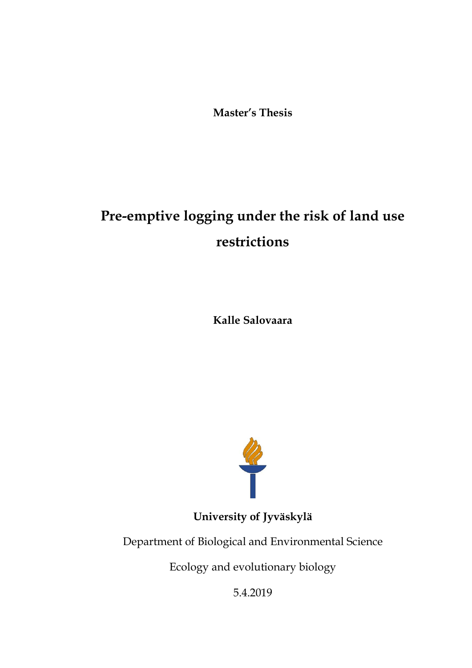**Master's Thesis**

# **Pre-emptive logging under the risk of land use restrictions**

**Kalle Salovaara**



**University of Jyväskylä**

Department of Biological and Environmental Science

Ecology and evolutionary biology

5.4.2019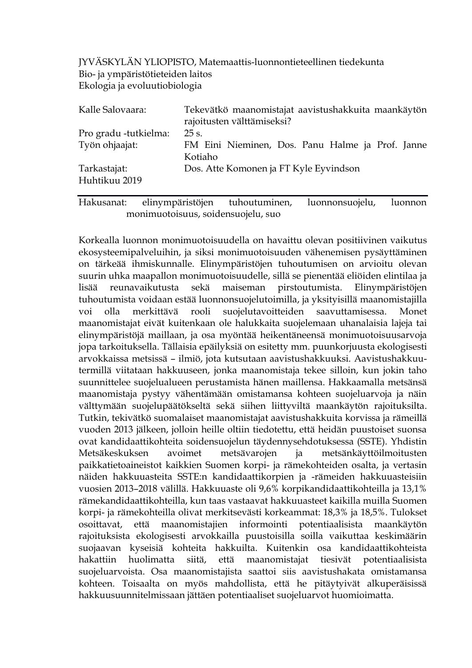JYVÄSKYLÄN YLIOPISTO, Matemaattis-luonnontieteellinen tiedekunta Bio- ja ympäristötieteiden laitos Ekologia ja evoluutiobiologia

| Kalle Salovaara:      | Tekevätkö maanomistajat aavistushakkuita maankäytön         |
|-----------------------|-------------------------------------------------------------|
|                       | rajoitusten välttämiseksi?                                  |
| Pro gradu -tutkielma: | 25 s.                                                       |
| Työn ohjaajat:        | FM Eini Nieminen, Dos. Panu Halme ja Prof. Janne<br>Kotiaho |
| Tarkastajat:          | Dos. Atte Komonen ja FT Kyle Eyvindson                      |
| Huhtikuu 2019         |                                                             |

Hakusanat: elinympäristöjen tuhoutuminen, luonnonsuojelu, luonnon monimuotoisuus, soidensuojelu, suo

Korkealla luonnon monimuotoisuudella on havaittu olevan positiivinen vaikutus ekosysteemipalveluihin, ja siksi monimuotoisuuden vähenemisen pysäyttäminen on tärkeää ihmiskunnalle. Elinympäristöjen tuhoutumisen on arvioitu olevan suurin uhka maapallon monimuotoisuudelle, sillä se pienentää eliöiden elintilaa ja lisää reunavaikutusta sekä maiseman pirstoutumista. Elinympäristöjen tuhoutumista voidaan estää luonnonsuojelutoimilla, ja yksityisillä maanomistajilla voi olla merkittävä rooli suojelutavoitteiden saavuttamisessa. Monet maanomistajat eivät kuitenkaan ole halukkaita suojelemaan uhanalaisia lajeja tai elinympäristöjä maillaan, ja osa myöntää heikentäneensä monimuotoisuusarvoja jopa tarkoituksella. Tällaisia epäilyksiä on esitetty mm. puunkorjuusta ekologisesti arvokkaissa metsissä – ilmiö, jota kutsutaan aavistushakkuuksi. Aavistushakkuutermillä viitataan hakkuuseen, jonka maanomistaja tekee silloin, kun jokin taho suunnittelee suojelualueen perustamista hänen maillensa. Hakkaamalla metsänsä maanomistaja pystyy vähentämään omistamansa kohteen suojeluarvoja ja näin välttymään suojelupäätökseltä sekä siihen liittyviltä maankäytön rajoituksilta. Tutkin, tekivätkö suomalaiset maanomistajat aavistushakkuita korvissa ja rämeillä vuoden 2013 jälkeen, jolloin heille oltiin tiedotettu, että heidän puustoiset suonsa ovat kandidaattikohteita soidensuojelun täydennysehdotuksessa (SSTE). Yhdistin Metsäkeskuksen avoimet metsävarojen ja metsänkäyttöilmoitusten paikkatietoaineistot kaikkien Suomen korpi- ja rämekohteiden osalta, ja vertasin näiden hakkuuasteita SSTE:n kandidaattikorpien ja -rämeiden hakkuuasteisiin vuosien 2013–2018 välillä. Hakkuuaste oli 9,6% korpikandidaattikohteilla ja 13,1% rämekandidaattikohteilla, kun taas vastaavat hakkuuasteet kaikilla muilla Suomen korpi- ja rämekohteilla olivat merkitsevästi korkeammat: 18,3% ja 18,5%. Tulokset osoittavat, että maanomistajien informointi potentiaalisista maankäytön rajoituksista ekologisesti arvokkailla puustoisilla soilla vaikuttaa keskimäärin suojaavan kyseisiä kohteita hakkuilta. Kuitenkin osa kandidaattikohteista hakattiin huolimatta siitä, että maanomistajat tiesivät potentiaalisista suojeluarvoista. Osa maanomistajista saattoi siis aavistushakata omistamansa kohteen. Toisaalta on myös mahdollista, että he pitäytyivät alkuperäisissä hakkuusuunnitelmissaan jättäen potentiaaliset suojeluarvot huomioimatta.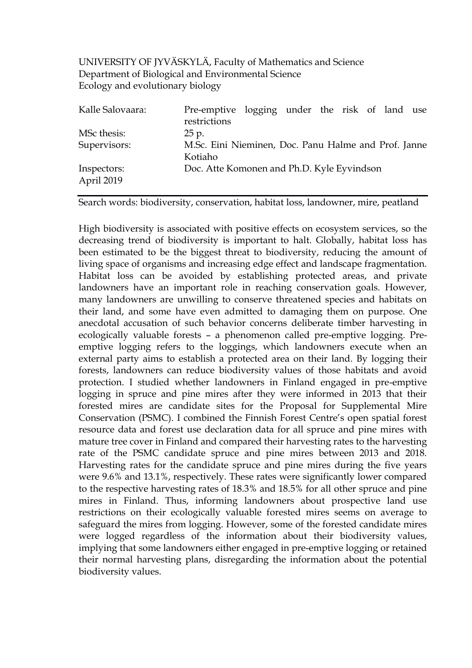UNIVERSITY OF JYVÄSKYLÄ, Faculty of Mathematics and Science Department of Biological and Environmental Science Ecology and evolutionary biology

| Pre-emptive logging under the risk of land use       |
|------------------------------------------------------|
| restrictions                                         |
| 25 p.                                                |
| M.Sc. Eini Nieminen, Doc. Panu Halme and Prof. Janne |
| Kotiaho                                              |
| Doc. Atte Komonen and Ph.D. Kyle Eyvindson           |
|                                                      |

Search words: biodiversity, conservation, habitat loss, landowner, mire, peatland

High biodiversity is associated with positive effects on ecosystem services, so the decreasing trend of biodiversity is important to halt. Globally, habitat loss has been estimated to be the biggest threat to biodiversity, reducing the amount of living space of organisms and increasing edge effect and landscape fragmentation. Habitat loss can be avoided by establishing protected areas, and private landowners have an important role in reaching conservation goals. However, many landowners are unwilling to conserve threatened species and habitats on their land, and some have even admitted to damaging them on purpose. One anecdotal accusation of such behavior concerns deliberate timber harvesting in ecologically valuable forests – a phenomenon called pre-emptive logging. Preemptive logging refers to the loggings, which landowners execute when an external party aims to establish a protected area on their land. By logging their forests, landowners can reduce biodiversity values of those habitats and avoid protection. I studied whether landowners in Finland engaged in pre-emptive logging in spruce and pine mires after they were informed in 2013 that their forested mires are candidate sites for the Proposal for Supplemental Mire Conservation (PSMC). I combined the Finnish Forest Centre's open spatial forest resource data and forest use declaration data for all spruce and pine mires with mature tree cover in Finland and compared their harvesting rates to the harvesting rate of the PSMC candidate spruce and pine mires between 2013 and 2018. Harvesting rates for the candidate spruce and pine mires during the five years were 9.6% and 13.1%, respectively. These rates were significantly lower compared to the respective harvesting rates of 18.3% and 18.5% for all other spruce and pine mires in Finland. Thus, informing landowners about prospective land use restrictions on their ecologically valuable forested mires seems on average to safeguard the mires from logging. However, some of the forested candidate mires were logged regardless of the information about their biodiversity values, implying that some landowners either engaged in pre-emptive logging or retained their normal harvesting plans, disregarding the information about the potential biodiversity values.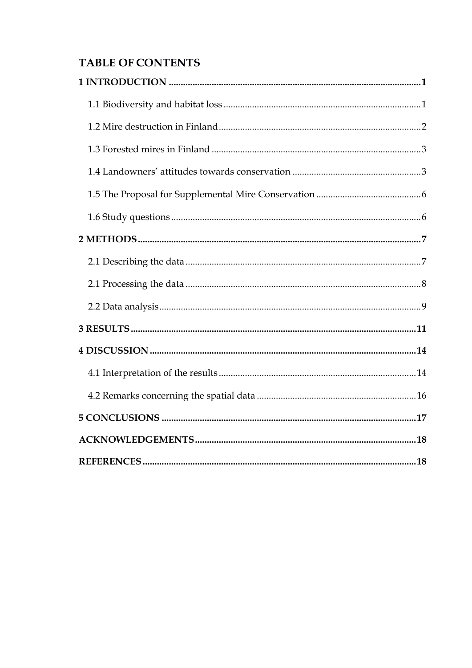# **TABLE OF CONTENTS**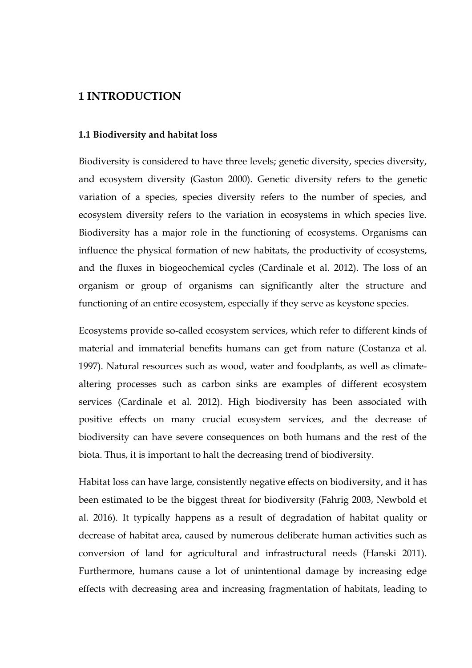# <span id="page-4-0"></span>**1 INTRODUCTION**

## <span id="page-4-1"></span>**1.1 Biodiversity and habitat loss**

Biodiversity is considered to have three levels; genetic diversity, species diversity, and ecosystem diversity (Gaston 2000). Genetic diversity refers to the genetic variation of a species, species diversity refers to the number of species, and ecosystem diversity refers to the variation in ecosystems in which species live. Biodiversity has a major role in the functioning of ecosystems. Organisms can influence the physical formation of new habitats, the productivity of ecosystems, and the fluxes in biogeochemical cycles (Cardinale et al. 2012). The loss of an organism or group of organisms can significantly alter the structure and functioning of an entire ecosystem, especially if they serve as keystone species.

Ecosystems provide so-called ecosystem services, which refer to different kinds of material and immaterial benefits humans can get from nature (Costanza et al. 1997). Natural resources such as wood, water and foodplants, as well as climatealtering processes such as carbon sinks are examples of different ecosystem services (Cardinale et al. 2012). High biodiversity has been associated with positive effects on many crucial ecosystem services, and the decrease of biodiversity can have severe consequences on both humans and the rest of the biota. Thus, it is important to halt the decreasing trend of biodiversity.

Habitat loss can have large, consistently negative effects on biodiversity, and it has been estimated to be the biggest threat for biodiversity (Fahrig 2003, Newbold et al. 2016). It typically happens as a result of degradation of habitat quality or decrease of habitat area, caused by numerous deliberate human activities such as conversion of land for agricultural and infrastructural needs (Hanski 2011). Furthermore, humans cause a lot of unintentional damage by increasing edge effects with decreasing area and increasing fragmentation of habitats, leading to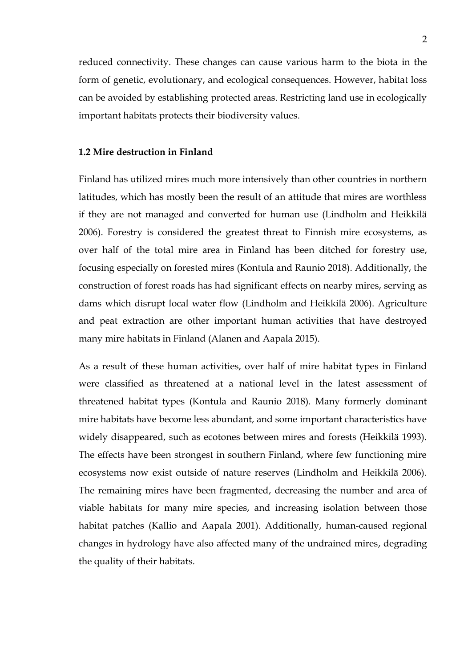reduced connectivity. These changes can cause various harm to the biota in the form of genetic, evolutionary, and ecological consequences. However, habitat loss can be avoided by establishing protected areas. Restricting land use in ecologically important habitats protects their biodiversity values.

# <span id="page-5-0"></span>**1.2 Mire destruction in Finland**

Finland has utilized mires much more intensively than other countries in northern latitudes, which has mostly been the result of an attitude that mires are worthless if they are not managed and converted for human use (Lindholm and Heikkilä 2006). Forestry is considered the greatest threat to Finnish mire ecosystems, as over half of the total mire area in Finland has been ditched for forestry use, focusing especially on forested mires (Kontula and Raunio 2018). Additionally, the construction of forest roads has had significant effects on nearby mires, serving as dams which disrupt local water flow (Lindholm and Heikkilä 2006). Agriculture and peat extraction are other important human activities that have destroyed many mire habitats in Finland (Alanen and Aapala 2015).

As a result of these human activities, over half of mire habitat types in Finland were classified as threatened at a national level in the latest assessment of threatened habitat types (Kontula and Raunio 2018). Many formerly dominant mire habitats have become less abundant, and some important characteristics have widely disappeared, such as ecotones between mires and forests (Heikkilä 1993). The effects have been strongest in southern Finland, where few functioning mire ecosystems now exist outside of nature reserves (Lindholm and Heikkilä 2006). The remaining mires have been fragmented, decreasing the number and area of viable habitats for many mire species, and increasing isolation between those habitat patches (Kallio and Aapala 2001). Additionally, human-caused regional changes in hydrology have also affected many of the undrained mires, degrading the quality of their habitats.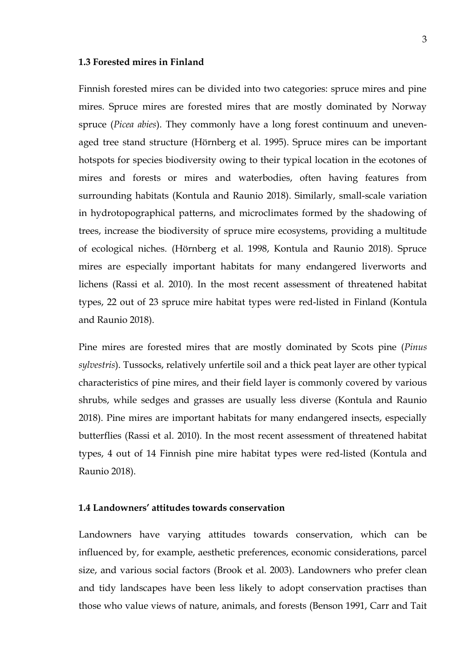#### <span id="page-6-0"></span>**1.3 Forested mires in Finland**

Finnish forested mires can be divided into two categories: spruce mires and pine mires. Spruce mires are forested mires that are mostly dominated by Norway spruce (*Picea abies*). They commonly have a long forest continuum and unevenaged tree stand structure (Hörnberg et al. 1995). Spruce mires can be important hotspots for species biodiversity owing to their typical location in the ecotones of mires and forests or mires and waterbodies, often having features from surrounding habitats (Kontula and Raunio 2018). Similarly, small-scale variation in hydrotopographical patterns, and microclimates formed by the shadowing of trees, increase the biodiversity of spruce mire ecosystems, providing a multitude of ecological niches. (Hörnberg et al. 1998, Kontula and Raunio 2018). Spruce mires are especially important habitats for many endangered liverworts and lichens (Rassi et al. 2010). In the most recent assessment of threatened habitat types, 22 out of 23 spruce mire habitat types were red-listed in Finland (Kontula and Raunio 2018).

Pine mires are forested mires that are mostly dominated by Scots pine (*Pinus sylvestris*). Tussocks, relatively unfertile soil and a thick peat layer are other typical characteristics of pine mires, and their field layer is commonly covered by various shrubs, while sedges and grasses are usually less diverse (Kontula and Raunio 2018). Pine mires are important habitats for many endangered insects, especially butterflies (Rassi et al. 2010). In the most recent assessment of threatened habitat types, 4 out of 14 Finnish pine mire habitat types were red-listed (Kontula and Raunio 2018).

# <span id="page-6-1"></span>**1.4 Landowners' attitudes towards conservation**

Landowners have varying attitudes towards conservation, which can be influenced by, for example, aesthetic preferences, economic considerations, parcel size, and various social factors (Brook et al. 2003). Landowners who prefer clean and tidy landscapes have been less likely to adopt conservation practises than those who value views of nature, animals, and forests (Benson 1991, Carr and Tait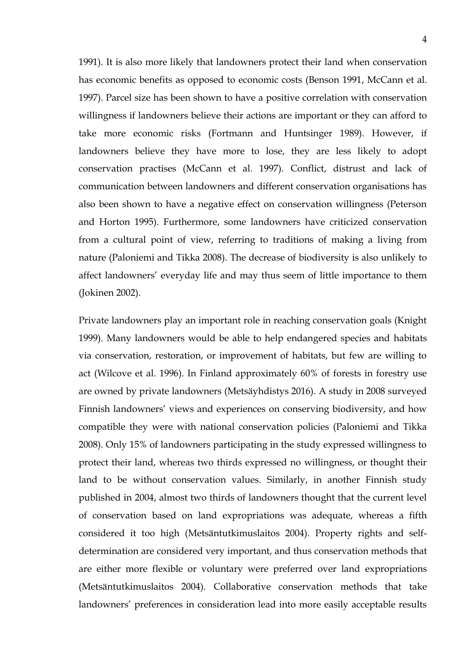1991). It is also more likely that landowners protect their land when conservation has economic benefits as opposed to economic costs (Benson 1991, McCann et al. 1997). Parcel size has been shown to have a positive correlation with conservation willingness if landowners believe their actions are important or they can afford to take more economic risks (Fortmann and Huntsinger 1989). However, if landowners believe they have more to lose, they are less likely to adopt conservation practises (McCann et al. 1997). Conflict, distrust and lack of communication between landowners and different conservation organisations has also been shown to have a negative effect on conservation willingness (Peterson and Horton 1995). Furthermore, some landowners have criticized conservation from a cultural point of view, referring to traditions of making a living from nature (Paloniemi and Tikka 2008). The decrease of biodiversity is also unlikely to affect landowners' everyday life and may thus seem of little importance to them (Jokinen 2002).

Private landowners play an important role in reaching conservation goals (Knight 1999). Many landowners would be able to help endangered species and habitats via conservation, restoration, or improvement of habitats, but few are willing to act (Wilcove et al. 1996). In Finland approximately 60% of forests in forestry use are owned by private landowners (Metsäyhdistys 2016). A study in 2008 surveyed Finnish landowners' views and experiences on conserving biodiversity, and how compatible they were with national conservation policies (Paloniemi and Tikka 2008). Only 15% of landowners participating in the study expressed willingness to protect their land, whereas two thirds expressed no willingness, or thought their land to be without conservation values. Similarly, in another Finnish study published in 2004, almost two thirds of landowners thought that the current level of conservation based on land expropriations was adequate, whereas a fifth considered it too high (Metsäntutkimuslaitos 2004). Property rights and selfdetermination are considered very important, and thus conservation methods that are either more flexible or voluntary were preferred over land expropriations (Metsäntutkimuslaitos 2004). Collaborative conservation methods that take landowners' preferences in consideration lead into more easily acceptable results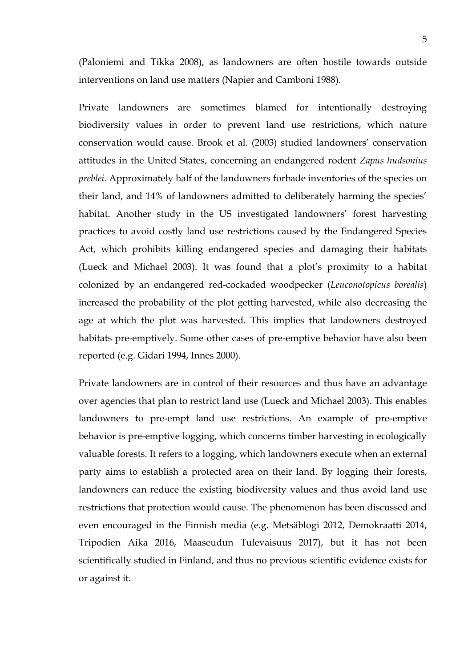(Paloniemi and Tikka 2008), as landowners are often hostile towards outside interventions on land use matters (Napier and Camboni 1988).

Private landowners are sometimes blamed for intentionally destroying biodiversity values in order to prevent land use restrictions, which nature conservation would cause. Brook et al. (2003) studied landowners' conservation attitudes in the United States, concerning an endangered rodent *Zapus hudsonius preblei*. Approximately half of the landowners forbade inventories of the species on their land, and 14% of landowners admitted to deliberately harming the species' habitat. Another study in the US investigated landowners' forest harvesting practices to avoid costly land use restrictions caused by the Endangered Species Act, which prohibits killing endangered species and damaging their habitats (Lueck and Michael 2003). It was found that a plot's proximity to a habitat colonized by an endangered red-cockaded woodpecker (*Leuconotopicus borealis*) increased the probability of the plot getting harvested, while also decreasing the age at which the plot was harvested. This implies that landowners destroyed habitats pre-emptively. Some other cases of pre-emptive behavior have also been reported (e.g. Gidari 1994, Innes 2000).

Private landowners are in control of their resources and thus have an advantage over agencies that plan to restrict land use (Lueck and Michael 2003). This enables landowners to pre-empt land use restrictions. An example of pre-emptive behavior is pre-emptive logging, which concerns timber harvesting in ecologically valuable forests. It refers to a logging, which landowners execute when an external party aims to establish a protected area on their land. By logging their forests, landowners can reduce the existing biodiversity values and thus avoid land use restrictions that protection would cause. The phenomenon has been discussed and even encouraged in the Finnish media (e.g. Metsäblogi 2012, Demokraatti 2014, Tripodien Aika 2016, Maaseudun Tulevaisuus 2017), but it has not been scientifically studied in Finland, and thus no previous scientific evidence exists for or against it.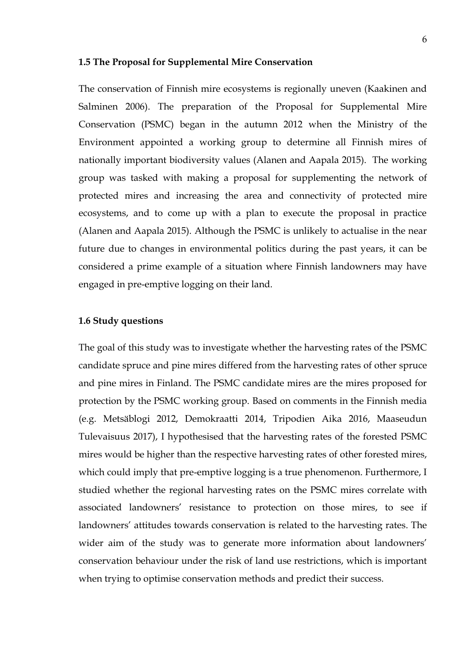#### <span id="page-9-0"></span>**1.5 The Proposal for Supplemental Mire Conservation**

The conservation of Finnish mire ecosystems is regionally uneven (Kaakinen and Salminen 2006). The preparation of the Proposal for Supplemental Mire Conservation (PSMC) began in the autumn 2012 when the Ministry of the Environment appointed a working group to determine all Finnish mires of nationally important biodiversity values (Alanen and Aapala 2015). The working group was tasked with making a proposal for supplementing the network of protected mires and increasing the area and connectivity of protected mire ecosystems, and to come up with a plan to execute the proposal in practice (Alanen and Aapala 2015). Although the PSMC is unlikely to actualise in the near future due to changes in environmental politics during the past years, it can be considered a prime example of a situation where Finnish landowners may have engaged in pre-emptive logging on their land.

#### <span id="page-9-1"></span>**1.6 Study questions**

The goal of this study was to investigate whether the harvesting rates of the PSMC candidate spruce and pine mires differed from the harvesting rates of other spruce and pine mires in Finland. The PSMC candidate mires are the mires proposed for protection by the PSMC working group. Based on comments in the Finnish media (e.g. Metsäblogi 2012, Demokraatti 2014, Tripodien Aika 2016, Maaseudun Tulevaisuus 2017), I hypothesised that the harvesting rates of the forested PSMC mires would be higher than the respective harvesting rates of other forested mires, which could imply that pre-emptive logging is a true phenomenon. Furthermore, I studied whether the regional harvesting rates on the PSMC mires correlate with associated landowners' resistance to protection on those mires, to see if landowners' attitudes towards conservation is related to the harvesting rates. The wider aim of the study was to generate more information about landowners' conservation behaviour under the risk of land use restrictions, which is important when trying to optimise conservation methods and predict their success.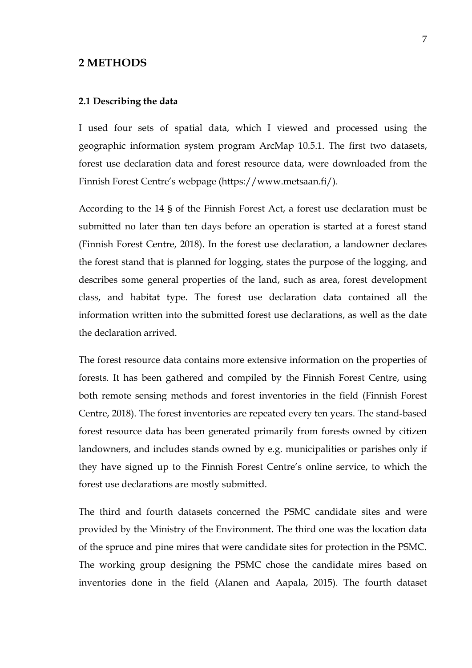# <span id="page-10-0"></span>**2 METHODS**

#### <span id="page-10-1"></span>**2.1 Describing the data**

I used four sets of spatial data, which I viewed and processed using the geographic information system program ArcMap 10.5.1. The first two datasets, forest use declaration data and forest resource data, were downloaded from the Finnish Forest Centre's webpage (https://www.metsaan.fi/).

According to the 14 § of the Finnish Forest Act, a forest use declaration must be submitted no later than ten days before an operation is started at a forest stand (Finnish Forest Centre, 2018). In the forest use declaration, a landowner declares the forest stand that is planned for logging, states the purpose of the logging, and describes some general properties of the land, such as area, forest development class, and habitat type. The forest use declaration data contained all the information written into the submitted forest use declarations, as well as the date the declaration arrived.

The forest resource data contains more extensive information on the properties of forests. It has been gathered and compiled by the Finnish Forest Centre, using both remote sensing methods and forest inventories in the field (Finnish Forest Centre, 2018). The forest inventories are repeated every ten years. The stand-based forest resource data has been generated primarily from forests owned by citizen landowners, and includes stands owned by e.g. municipalities or parishes only if they have signed up to the Finnish Forest Centre's online service, to which the forest use declarations are mostly submitted.

The third and fourth datasets concerned the PSMC candidate sites and were provided by the Ministry of the Environment. The third one was the location data of the spruce and pine mires that were candidate sites for protection in the PSMC. The working group designing the PSMC chose the candidate mires based on inventories done in the field (Alanen and Aapala, 2015). The fourth dataset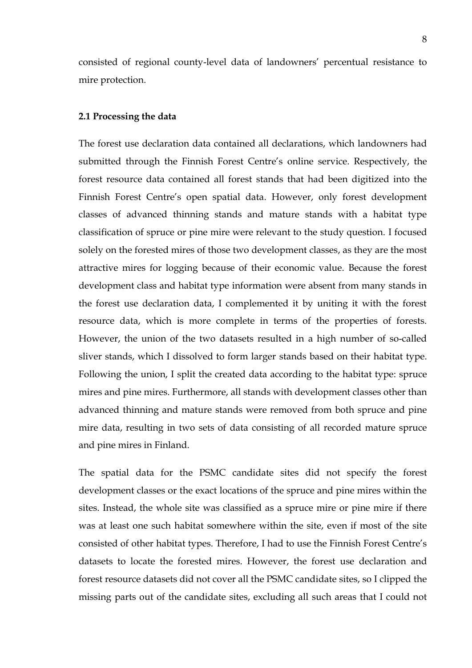consisted of regional county-level data of landowners' percentual resistance to mire protection.

#### <span id="page-11-0"></span>**2.1 Processing the data**

The forest use declaration data contained all declarations, which landowners had submitted through the Finnish Forest Centre's online service. Respectively, the forest resource data contained all forest stands that had been digitized into the Finnish Forest Centre's open spatial data. However, only forest development classes of advanced thinning stands and mature stands with a habitat type classification of spruce or pine mire were relevant to the study question. I focused solely on the forested mires of those two development classes, as they are the most attractive mires for logging because of their economic value. Because the forest development class and habitat type information were absent from many stands in the forest use declaration data, I complemented it by uniting it with the forest resource data, which is more complete in terms of the properties of forests. However, the union of the two datasets resulted in a high number of so-called sliver stands, which I dissolved to form larger stands based on their habitat type. Following the union, I split the created data according to the habitat type: spruce mires and pine mires. Furthermore, all stands with development classes other than advanced thinning and mature stands were removed from both spruce and pine mire data, resulting in two sets of data consisting of all recorded mature spruce and pine mires in Finland.

The spatial data for the PSMC candidate sites did not specify the forest development classes or the exact locations of the spruce and pine mires within the sites. Instead, the whole site was classified as a spruce mire or pine mire if there was at least one such habitat somewhere within the site, even if most of the site consisted of other habitat types. Therefore, I had to use the Finnish Forest Centre's datasets to locate the forested mires. However, the forest use declaration and forest resource datasets did not cover all the PSMC candidate sites, so I clipped the missing parts out of the candidate sites, excluding all such areas that I could not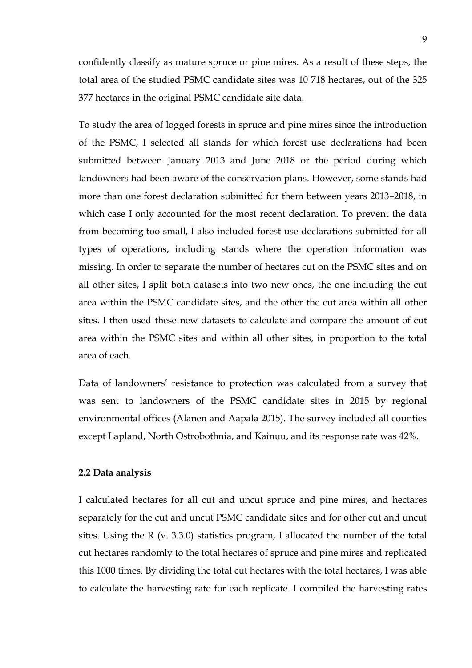confidently classify as mature spruce or pine mires. As a result of these steps, the total area of the studied PSMC candidate sites was 10 718 hectares, out of the 325 377 hectares in the original PSMC candidate site data.

To study the area of logged forests in spruce and pine mires since the introduction of the PSMC, I selected all stands for which forest use declarations had been submitted between January 2013 and June 2018 or the period during which landowners had been aware of the conservation plans. However, some stands had more than one forest declaration submitted for them between years 2013–2018, in which case I only accounted for the most recent declaration. To prevent the data from becoming too small, I also included forest use declarations submitted for all types of operations, including stands where the operation information was missing. In order to separate the number of hectares cut on the PSMC sites and on all other sites, I split both datasets into two new ones, the one including the cut area within the PSMC candidate sites, and the other the cut area within all other sites. I then used these new datasets to calculate and compare the amount of cut area within the PSMC sites and within all other sites, in proportion to the total area of each.

Data of landowners' resistance to protection was calculated from a survey that was sent to landowners of the PSMC candidate sites in 2015 by regional environmental offices (Alanen and Aapala 2015). The survey included all counties except Lapland, North Ostrobothnia, and Kainuu, and its response rate was 42%.

#### <span id="page-12-0"></span>**2.2 Data analysis**

I calculated hectares for all cut and uncut spruce and pine mires, and hectares separately for the cut and uncut PSMC candidate sites and for other cut and uncut sites. Using the R (v. 3.3.0) statistics program, I allocated the number of the total cut hectares randomly to the total hectares of spruce and pine mires and replicated this 1000 times. By dividing the total cut hectares with the total hectares, I was able to calculate the harvesting rate for each replicate. I compiled the harvesting rates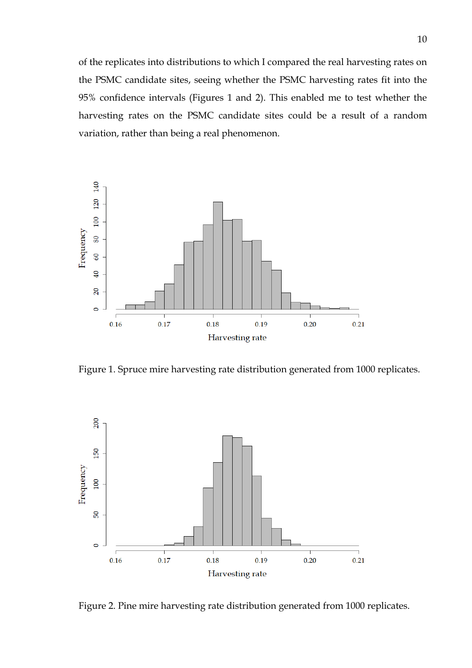of the replicates into distributions to which I compared the real harvesting rates on the PSMC candidate sites, seeing whether the PSMC harvesting rates fit into the 95% confidence intervals (Figures 1 and 2). This enabled me to test whether the harvesting rates on the PSMC candidate sites could be a result of a random variation, rather than being a real phenomenon.



Figure 1. Spruce mire harvesting rate distribution generated from 1000 replicates.



Figure 2. Pine mire harvesting rate distribution generated from 1000 replicates.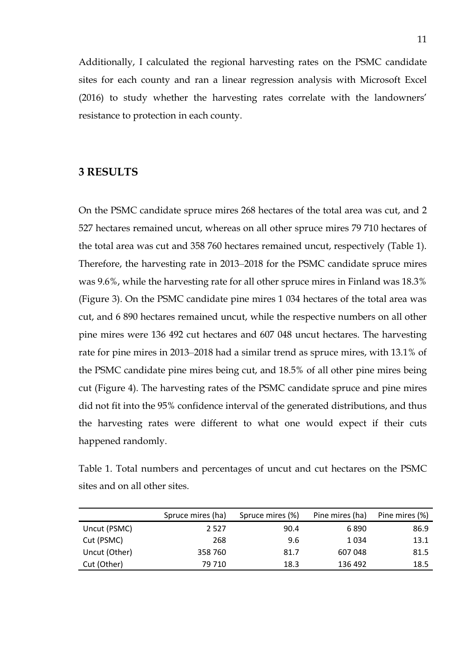Additionally, I calculated the regional harvesting rates on the PSMC candidate sites for each county and ran a linear regression analysis with Microsoft Excel (2016) to study whether the harvesting rates correlate with the landowners' resistance to protection in each county.

# <span id="page-14-0"></span>**3 RESULTS**

On the PSMC candidate spruce mires 268 hectares of the total area was cut, and 2 527 hectares remained uncut, whereas on all other spruce mires 79 710 hectares of the total area was cut and 358 760 hectares remained uncut, respectively (Table 1). Therefore, the harvesting rate in 2013–2018 for the PSMC candidate spruce mires was 9.6%, while the harvesting rate for all other spruce mires in Finland was 18.3% (Figure 3). On the PSMC candidate pine mires 1 034 hectares of the total area was cut, and 6 890 hectares remained uncut, while the respective numbers on all other pine mires were 136 492 cut hectares and 607 048 uncut hectares. The harvesting rate for pine mires in 2013–2018 had a similar trend as spruce mires, with 13.1% of the PSMC candidate pine mires being cut, and 18.5% of all other pine mires being cut (Figure 4). The harvesting rates of the PSMC candidate spruce and pine mires did not fit into the 95% confidence interval of the generated distributions, and thus the harvesting rates were different to what one would expect if their cuts happened randomly.

Table 1. Total numbers and percentages of uncut and cut hectares on the PSMC sites and on all other sites.

|               | Spruce mires (ha) | Spruce mires (%) | Pine mires (ha) | Pine mires (%) |
|---------------|-------------------|------------------|-----------------|----------------|
| Uncut (PSMC)  | 2 5 2 7           | 90.4             | 6890            | 86.9           |
| Cut (PSMC)    | 268               | 9.6              | 1 0 3 4         | 13.1           |
| Uncut (Other) | 358 760           | 81.7             | 607 048         | 81.5           |
| Cut (Other)   | 79 710            | 18.3             | 136 492         | 18.5           |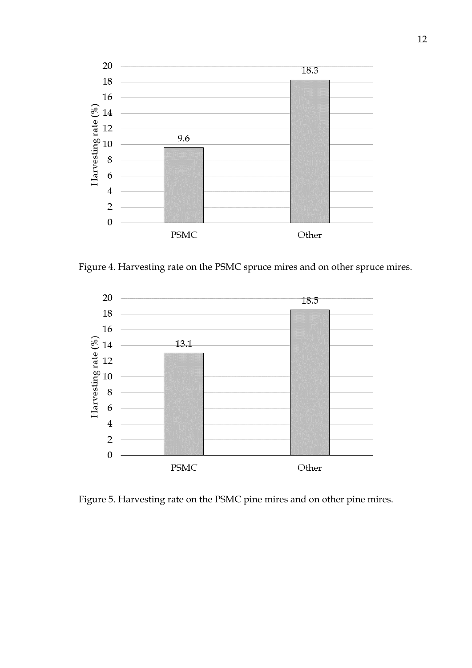

Figure 4. Harvesting rate on the PSMC spruce mires and on other spruce mires.



Figure 5. Harvesting rate on the PSMC pine mires and on other pine mires.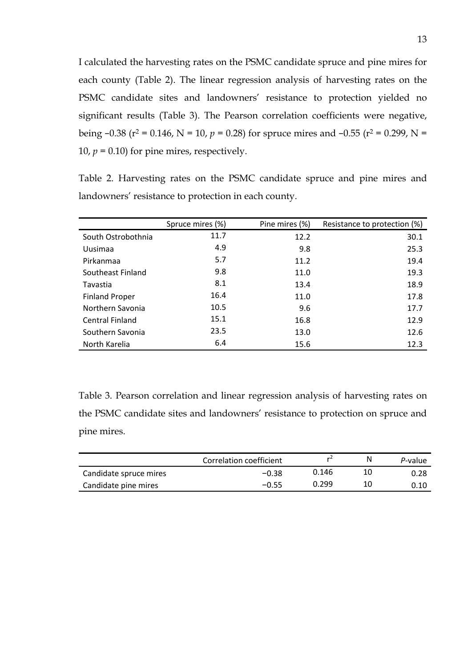I calculated the harvesting rates on the PSMC candidate spruce and pine mires for each county (Table 2). The linear regression analysis of harvesting rates on the PSMC candidate sites and landowners' resistance to protection yielded no significant results (Table 3). The Pearson correlation coefficients were negative, being -0.38 (r<sup>2</sup> = 0.146, N = 10, p = 0.28) for spruce mires and -0.55 (r<sup>2</sup> = 0.299, N = 10,  $p = 0.10$ ) for pine mires, respectively.

Table 2. Harvesting rates on the PSMC candidate spruce and pine mires and landowners' resistance to protection in each county.

|                        | Spruce mires (%) | Pine mires (%) | Resistance to protection (%) |
|------------------------|------------------|----------------|------------------------------|
| South Ostrobothnia     | 11.7             | 12.2           | 30.1                         |
| Uusimaa                | 4.9              | 9.8            | 25.3                         |
| Pirkanmaa              | 5.7              | 11.2           | 19.4                         |
| Southeast Finland      | 9.8              | 11.0           | 19.3                         |
| Tavastia               | 8.1              | 13.4           | 18.9                         |
| <b>Finland Proper</b>  | 16.4             | 11.0           | 17.8                         |
| Northern Savonia       | 10.5             | 9.6            | 17.7                         |
| <b>Central Finland</b> | 15.1             | 16.8           | 12.9                         |
| Southern Savonia       | 23.5             | 13.0           | 12.6                         |
| North Karelia          | 6.4              | 15.6           | 12.3                         |

Table 3. Pearson correlation and linear regression analysis of harvesting rates on the PSMC candidate sites and landowners' resistance to protection on spruce and pine mires.

|                        | Correlation coefficient | r     | N  | P-value |
|------------------------|-------------------------|-------|----|---------|
| Candidate spruce mires | $-0.38$                 | 0.146 | 10 | 0.28    |
| Candidate pine mires   | $-0.55$                 | 0.299 | 10 |         |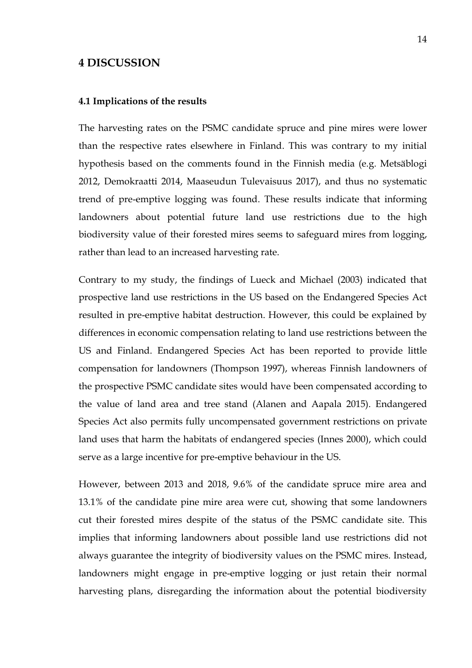# <span id="page-17-0"></span>**4 DISCUSSION**

#### <span id="page-17-1"></span>**4.1 Implications of the results**

The harvesting rates on the PSMC candidate spruce and pine mires were lower than the respective rates elsewhere in Finland. This was contrary to my initial hypothesis based on the comments found in the Finnish media (e.g. Metsäblogi 2012, Demokraatti 2014, Maaseudun Tulevaisuus 2017), and thus no systematic trend of pre-emptive logging was found. These results indicate that informing landowners about potential future land use restrictions due to the high biodiversity value of their forested mires seems to safeguard mires from logging, rather than lead to an increased harvesting rate.

Contrary to my study, the findings of Lueck and Michael (2003) indicated that prospective land use restrictions in the US based on the Endangered Species Act resulted in pre-emptive habitat destruction. However, this could be explained by differences in economic compensation relating to land use restrictions between the US and Finland. Endangered Species Act has been reported to provide little compensation for landowners (Thompson 1997), whereas Finnish landowners of the prospective PSMC candidate sites would have been compensated according to the value of land area and tree stand (Alanen and Aapala 2015). Endangered Species Act also permits fully uncompensated government restrictions on private land uses that harm the habitats of endangered species (Innes 2000), which could serve as a large incentive for pre-emptive behaviour in the US.

However, between 2013 and 2018, 9.6% of the candidate spruce mire area and 13.1% of the candidate pine mire area were cut, showing that some landowners cut their forested mires despite of the status of the PSMC candidate site. This implies that informing landowners about possible land use restrictions did not always guarantee the integrity of biodiversity values on the PSMC mires. Instead, landowners might engage in pre-emptive logging or just retain their normal harvesting plans, disregarding the information about the potential biodiversity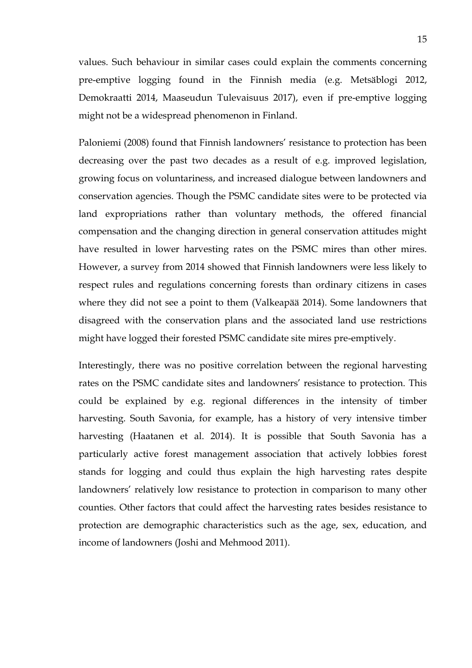values. Such behaviour in similar cases could explain the comments concerning pre-emptive logging found in the Finnish media (e.g. Metsäblogi 2012, Demokraatti 2014, Maaseudun Tulevaisuus 2017), even if pre-emptive logging might not be a widespread phenomenon in Finland.

Paloniemi (2008) found that Finnish landowners' resistance to protection has been decreasing over the past two decades as a result of e.g. improved legislation, growing focus on voluntariness, and increased dialogue between landowners and conservation agencies. Though the PSMC candidate sites were to be protected via land expropriations rather than voluntary methods, the offered financial compensation and the changing direction in general conservation attitudes might have resulted in lower harvesting rates on the PSMC mires than other mires. However, a survey from 2014 showed that Finnish landowners were less likely to respect rules and regulations concerning forests than ordinary citizens in cases where they did not see a point to them (Valkeapää 2014). Some landowners that disagreed with the conservation plans and the associated land use restrictions might have logged their forested PSMC candidate site mires pre-emptively.

Interestingly, there was no positive correlation between the regional harvesting rates on the PSMC candidate sites and landowners' resistance to protection. This could be explained by e.g. regional differences in the intensity of timber harvesting. South Savonia, for example, has a history of very intensive timber harvesting (Haatanen et al. 2014). It is possible that South Savonia has a particularly active forest management association that actively lobbies forest stands for logging and could thus explain the high harvesting rates despite landowners' relatively low resistance to protection in comparison to many other counties. Other factors that could affect the harvesting rates besides resistance to protection are demographic characteristics such as the age, sex, education, and income of landowners (Joshi and Mehmood 2011).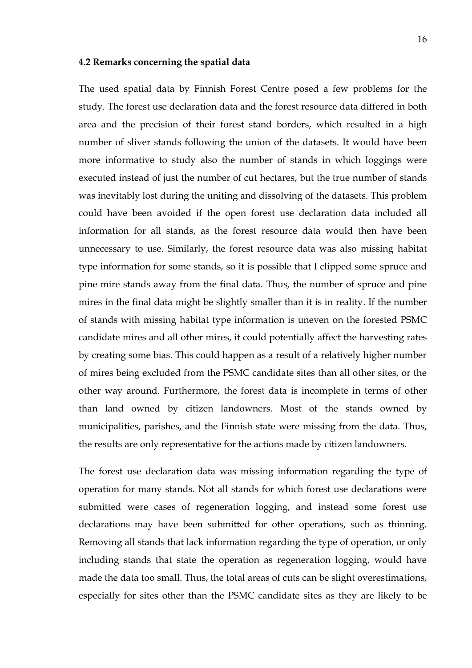#### <span id="page-19-0"></span>**4.2 Remarks concerning the spatial data**

The used spatial data by Finnish Forest Centre posed a few problems for the study. The forest use declaration data and the forest resource data differed in both area and the precision of their forest stand borders, which resulted in a high number of sliver stands following the union of the datasets. It would have been more informative to study also the number of stands in which loggings were executed instead of just the number of cut hectares, but the true number of stands was inevitably lost during the uniting and dissolving of the datasets. This problem could have been avoided if the open forest use declaration data included all information for all stands, as the forest resource data would then have been unnecessary to use. Similarly, the forest resource data was also missing habitat type information for some stands, so it is possible that I clipped some spruce and pine mire stands away from the final data. Thus, the number of spruce and pine mires in the final data might be slightly smaller than it is in reality. If the number of stands with missing habitat type information is uneven on the forested PSMC candidate mires and all other mires, it could potentially affect the harvesting rates by creating some bias. This could happen as a result of a relatively higher number of mires being excluded from the PSMC candidate sites than all other sites, or the other way around. Furthermore, the forest data is incomplete in terms of other than land owned by citizen landowners. Most of the stands owned by municipalities, parishes, and the Finnish state were missing from the data. Thus, the results are only representative for the actions made by citizen landowners.

The forest use declaration data was missing information regarding the type of operation for many stands. Not all stands for which forest use declarations were submitted were cases of regeneration logging, and instead some forest use declarations may have been submitted for other operations, such as thinning. Removing all stands that lack information regarding the type of operation, or only including stands that state the operation as regeneration logging, would have made the data too small. Thus, the total areas of cuts can be slight overestimations, especially for sites other than the PSMC candidate sites as they are likely to be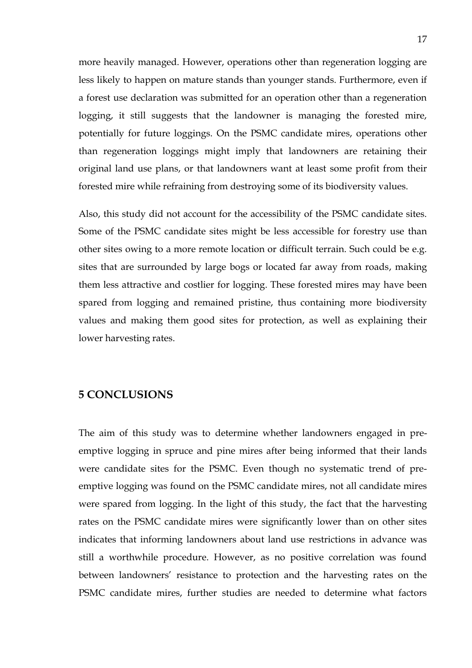more heavily managed. However, operations other than regeneration logging are less likely to happen on mature stands than younger stands. Furthermore, even if a forest use declaration was submitted for an operation other than a regeneration logging, it still suggests that the landowner is managing the forested mire, potentially for future loggings. On the PSMC candidate mires, operations other than regeneration loggings might imply that landowners are retaining their original land use plans, or that landowners want at least some profit from their forested mire while refraining from destroying some of its biodiversity values.

Also, this study did not account for the accessibility of the PSMC candidate sites. Some of the PSMC candidate sites might be less accessible for forestry use than other sites owing to a more remote location or difficult terrain. Such could be e.g. sites that are surrounded by large bogs or located far away from roads, making them less attractive and costlier for logging. These forested mires may have been spared from logging and remained pristine, thus containing more biodiversity values and making them good sites for protection, as well as explaining their lower harvesting rates.

# <span id="page-20-0"></span>**5 CONCLUSIONS**

The aim of this study was to determine whether landowners engaged in preemptive logging in spruce and pine mires after being informed that their lands were candidate sites for the PSMC. Even though no systematic trend of preemptive logging was found on the PSMC candidate mires, not all candidate mires were spared from logging. In the light of this study, the fact that the harvesting rates on the PSMC candidate mires were significantly lower than on other sites indicates that informing landowners about land use restrictions in advance was still a worthwhile procedure. However, as no positive correlation was found between landowners' resistance to protection and the harvesting rates on the PSMC candidate mires, further studies are needed to determine what factors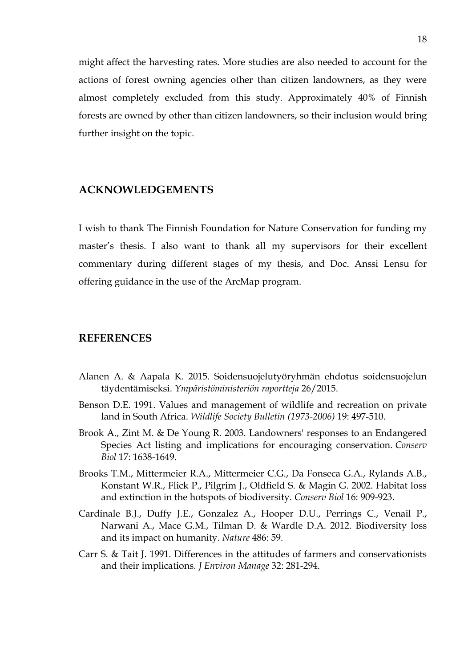might affect the harvesting rates. More studies are also needed to account for the actions of forest owning agencies other than citizen landowners, as they were almost completely excluded from this study. Approximately 40% of Finnish forests are owned by other than citizen landowners, so their inclusion would bring further insight on the topic.

# <span id="page-21-0"></span>**ACKNOWLEDGEMENTS**

I wish to thank The Finnish Foundation for Nature Conservation for funding my master's thesis. I also want to thank all my supervisors for their excellent commentary during different stages of my thesis, and Doc. Anssi Lensu for offering guidance in the use of the ArcMap program.

# <span id="page-21-1"></span>**REFERENCES**

- Alanen A. & Aapala K. 2015. Soidensuojelutyöryhmän ehdotus soidensuojelun täydentämiseksi. *Ympäristöministeriön raportteja* 26/2015.
- Benson D.E. 1991. Values and management of wildlife and recreation on private land in South Africa. *Wildlife Society Bulletin (1973-2006)* 19: 497-510.
- Brook A., Zint M. & De Young R. 2003. Landowners' responses to an Endangered Species Act listing and implications for encouraging conservation. *Conserv Biol* 17: 1638-1649.
- Brooks T.M., Mittermeier R.A., Mittermeier C.G., Da Fonseca G.A., Rylands A.B., Konstant W.R., Flick P., Pilgrim J., Oldfield S. & Magin G. 2002. Habitat loss and extinction in the hotspots of biodiversity. *Conserv Biol* 16: 909-923.
- Cardinale B.J., Duffy J.E., Gonzalez A., Hooper D.U., Perrings C., Venail P., Narwani A., Mace G.M., Tilman D. & Wardle D.A. 2012. Biodiversity loss and its impact on humanity. *Nature* 486: 59.
- Carr S. & Tait J. 1991. Differences in the attitudes of farmers and conservationists and their implications. *J Environ Manage* 32: 281-294.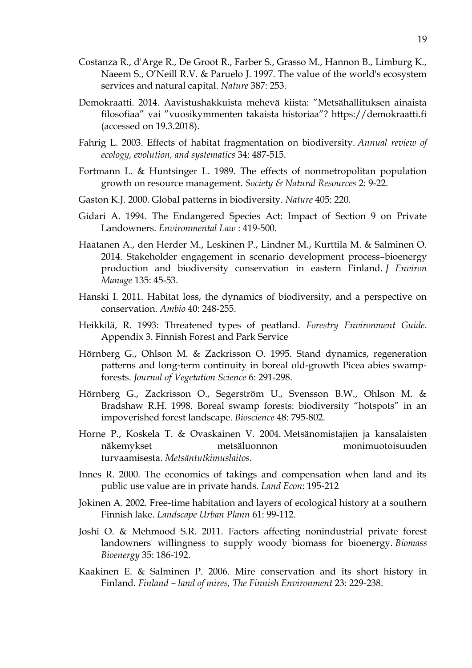- Costanza R., d'Arge R., De Groot R., Farber S., Grasso M., Hannon B., Limburg K., Naeem S., O'Neill R.V. & Paruelo J. 1997. The value of the world's ecosystem services and natural capital. *Nature* 387: 253.
- Demokraatti. 2014. Aavistushakkuista mehevä kiista: "Metsähallituksen ainaista filosofiaa" vai "vuosikymmenten takaista historiaa"? https://demokraatti.fi (accessed on 19.3.2018).
- Fahrig L. 2003. Effects of habitat fragmentation on biodiversity. *Annual review of ecology, evolution, and systematics* 34: 487-515.
- Fortmann L. & Huntsinger L. 1989. The effects of nonmetropolitan population growth on resource management. *Society & Natural Resources* 2: 9-22.
- Gaston K.J. 2000. Global patterns in biodiversity. *Nature* 405: 220.
- Gidari A. 1994. The Endangered Species Act: Impact of Section 9 on Private Landowners. *Environmental Law* : 419-500.
- Haatanen A., den Herder M., Leskinen P., Lindner M., Kurttila M. & Salminen O. 2014. Stakeholder engagement in scenario development process–bioenergy production and biodiversity conservation in eastern Finland. *J Environ Manage* 135: 45-53.
- Hanski I. 2011. Habitat loss, the dynamics of biodiversity, and a perspective on conservation. *Ambio* 40: 248-255.
- Heikkilä, R. 1993: Threatened types of peatland. *Forestry Environment Guide*. Appendix 3. Finnish Forest and Park Service
- Hörnberg G., Ohlson M. & Zackrisson O. 1995. Stand dynamics, regeneration patterns and long‐term continuity in boreal old‐growth Picea abies swamp‐ forests. *Journal of Vegetation Science* 6: 291-298.
- Hörnberg G., Zackrisson O., Segerström U., Svensson B.W., Ohlson M. & Bradshaw R.H. 1998. Boreal swamp forests: biodiversity "hotspots" in an impoverished forest landscape. *Bioscience* 48: 795-802.
- Horne P., Koskela T. & Ovaskainen V. 2004. Metsänomistajien ja kansalaisten näkemykset metsäluonnon monimuotoisuuden turvaamisesta*. Metsäntutkimuslaitos*.
- Innes R. 2000. The economics of takings and compensation when land and its public use value are in private hands. *Land Econ*: 195-212
- Jokinen A. 2002. Free-time habitation and layers of ecological history at a southern Finnish lake. *Landscape Urban Plann* 61: 99-112.
- Joshi O. & Mehmood S.R. 2011. Factors affecting nonindustrial private forest landowners' willingness to supply woody biomass for bioenergy. *Biomass Bioenergy* 35: 186-192.
- Kaakinen E. & Salminen P. 2006. Mire conservation and its short history in Finland. *Finland – land of mires, The Finnish Environment* 23: 229-238.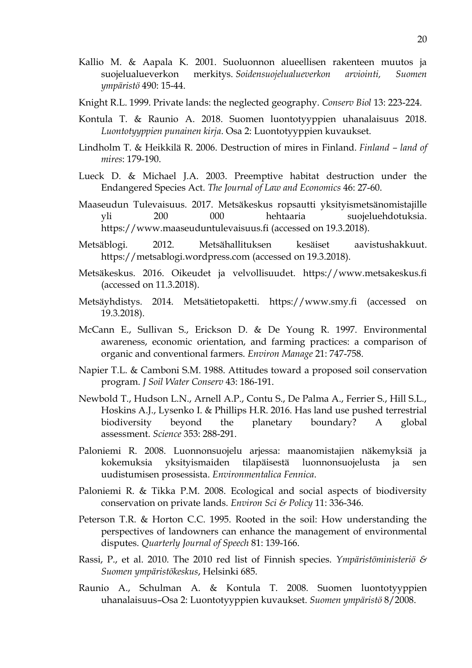- Kallio M. & Aapala K. 2001. Suoluonnon alueellisen rakenteen muutos ja suojelualueverkon merkitys. *Soidensuojelualueverkon arviointi, Suomen ympäristö* 490: 15-44.
- Knight R.L. 1999. Private lands: the neglected geography. *Conserv Biol* 13: 223-224.
- Kontula T. & Raunio A. 2018. Suomen luontotyyppien uhanalaisuus 2018. *Luontotyyppien punainen kirja*. Osa 2: Luontotyyppien kuvaukset.
- Lindholm T. & Heikkilä R. 2006. Destruction of mires in Finland. *Finland – land of mires*: 179-190.
- Lueck D. & Michael J.A. 2003. Preemptive habitat destruction under the Endangered Species Act. *The Journal of Law and Economics* 46: 27-60.
- Maaseudun Tulevaisuus. 2017. Metsäkeskus ropsautti yksityismetsänomistajille yli 200 000 hehtaaria suojeluehdotuksia. https://www.maaseuduntulevaisuus.fi (accessed on 19.3.2018).
- Metsäblogi. 2012. Metsähallituksen kesäiset aavistushakkuut. https://metsablogi.wordpress.com (accessed on 19.3.2018).
- Metsäkeskus. 2016. Oikeudet ja velvollisuudet. https://www.metsakeskus.fi (accessed on 11.3.2018).
- Metsäyhdistys. 2014. Metsätietopaketti. https://www.smy.fi (accessed on 19.3.2018).
- McCann E., Sullivan S., Erickson D. & De Young R. 1997. Environmental awareness, economic orientation, and farming practices: a comparison of organic and conventional farmers. *Environ Manage* 21: 747-758.
- Napier T.L. & Camboni S.M. 1988. Attitudes toward a proposed soil conservation program. *J Soil Water Conserv* 43: 186-191.
- Newbold T., Hudson L.N., Arnell A.P., Contu S., De Palma A., Ferrier S., Hill S.L., Hoskins A.J., Lysenko I. & Phillips H.R. 2016. Has land use pushed terrestrial biodiversity beyond the planetary boundary? A global assessment. *Science* 353: 288-291.
- Paloniemi R. 2008. Luonnonsuojelu arjessa: maanomistajien näkemyksiä ja kokemuksia yksityismaiden tilapäisestä luonnonsuojelusta ja sen uudistumisen prosessista. *Environmentalica Fennica*.
- Paloniemi R. & Tikka P.M. 2008. Ecological and social aspects of biodiversity conservation on private lands. *Environ Sci & Policy* 11: 336-346.
- Peterson T.R. & Horton C.C. 1995. Rooted in the soil: How understanding the perspectives of landowners can enhance the management of environmental disputes. *Quarterly Journal of Speech* 81: 139-166.
- Rassi, P., et al. 2010. The 2010 red list of Finnish species. *Ympäristöministeriö & Suomen ympäristökeskus*, Helsinki 685.
- Raunio A., Schulman A. & Kontula T. 2008. Suomen luontotyyppien uhanalaisuus–Osa 2: Luontotyyppien kuvaukset. *Suomen ympäristö* 8/2008.